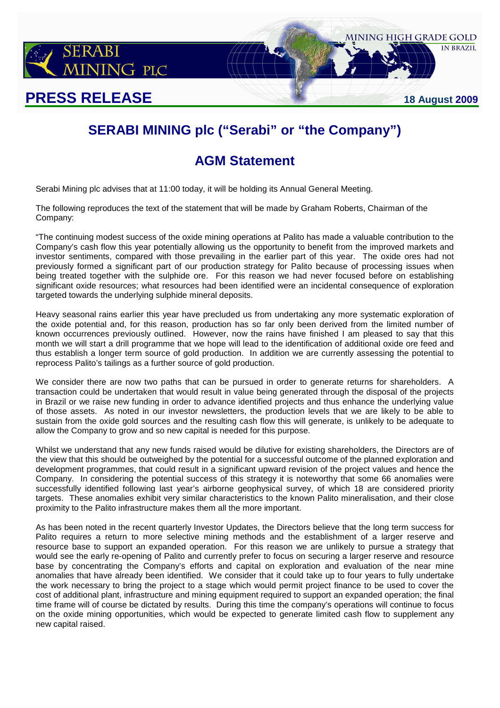

# **SERABI MINING plc ("Serabi" or "the Company")**

## **AGM Statement**

Serabi Mining plc advises that at 11:00 today, it will be holding its Annual General Meeting.

The following reproduces the text of the statement that will be made by Graham Roberts, Chairman of the Company:

"The continuing modest success of the oxide mining operations at Palito has made a valuable contribution to the Company's cash flow this year potentially allowing us the opportunity to benefit from the improved markets and investor sentiments, compared with those prevailing in the earlier part of this year. The oxide ores had not previously formed a significant part of our production strategy for Palito because of processing issues when being treated together with the sulphide ore. For this reason we had never focused before on establishing significant oxide resources; what resources had been identified were an incidental consequence of exploration targeted towards the underlying sulphide mineral deposits.

Heavy seasonal rains earlier this year have precluded us from undertaking any more systematic exploration of the oxide potential and, for this reason, production has so far only been derived from the limited number of known occurrences previously outlined. However, now the rains have finished I am pleased to say that this month we will start a drill programme that we hope will lead to the identification of additional oxide ore feed and thus establish a longer term source of gold production. In addition we are currently assessing the potential to reprocess Palito's tailings as a further source of gold production.

We consider there are now two paths that can be pursued in order to generate returns for shareholders. A transaction could be undertaken that would result in value being generated through the disposal of the projects in Brazil or we raise new funding in order to advance identified projects and thus enhance the underlying value of those assets. As noted in our investor newsletters, the production levels that we are likely to be able to sustain from the oxide gold sources and the resulting cash flow this will generate, is unlikely to be adequate to allow the Company to grow and so new capital is needed for this purpose.

Whilst we understand that any new funds raised would be dilutive for existing shareholders, the Directors are of the view that this should be outweighed by the potential for a successful outcome of the planned exploration and development programmes, that could result in a significant upward revision of the project values and hence the Company. In considering the potential success of this strategy it is noteworthy that some 66 anomalies were successfully identified following last year's airborne geophysical survey, of which 18 are considered priority targets. These anomalies exhibit very similar characteristics to the known Palito mineralisation, and their close proximity to the Palito infrastructure makes them all the more important.

As has been noted in the recent quarterly Investor Updates, the Directors believe that the long term success for Palito requires a return to more selective mining methods and the establishment of a larger reserve and resource base to support an expanded operation. For this reason we are unlikely to pursue a strategy that would see the early re-opening of Palito and currently prefer to focus on securing a larger reserve and resource base by concentrating the Company's efforts and capital on exploration and evaluation of the near mine anomalies that have already been identified. We consider that it could take up to four years to fully undertake the work necessary to bring the project to a stage which would permit project finance to be used to cover the cost of additional plant, infrastructure and mining equipment required to support an expanded operation; the final time frame will of course be dictated by results. During this time the company's operations will continue to focus on the oxide mining opportunities, which would be expected to generate limited cash flow to supplement any new capital raised.